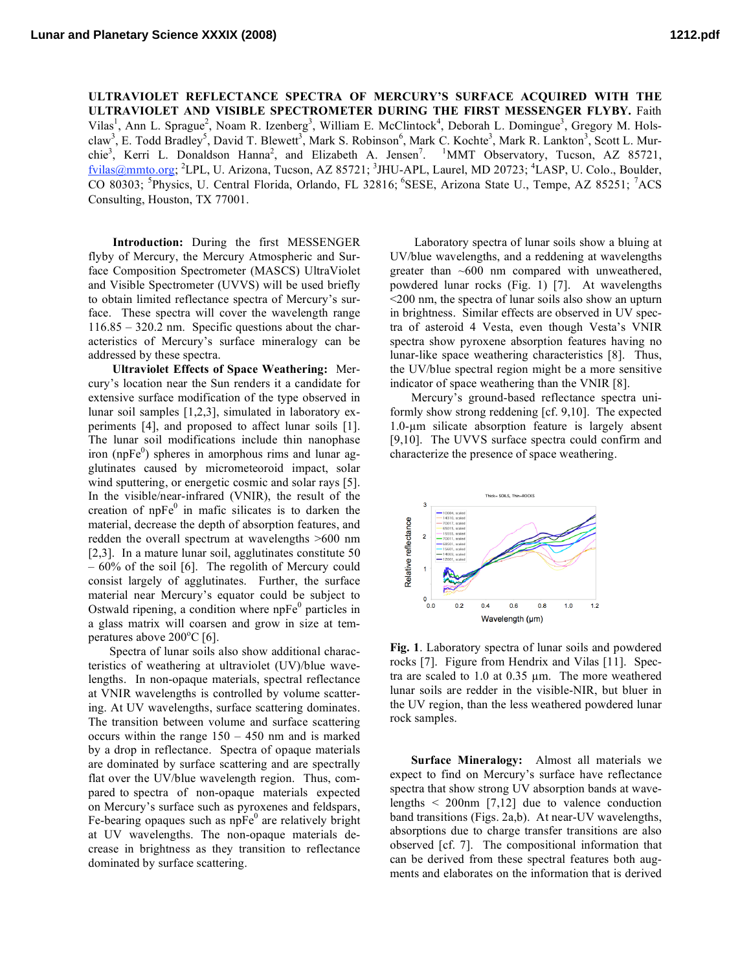**ULTRAVIOLET REFLECTANCE SPECTRA OF MERCURY'S SURFACE ACQUIRED WITH THE ULTRAVIOLET AND VISIBLE SPECTROMETER DURING THE FIRST MESSENGER FLYBY.** Faith Vilas<sup>1</sup>, Ann L. Sprague<sup>2</sup>, Noam R. Izenberg<sup>3</sup>, William E. McClintock<sup>4</sup>, Deborah L. Domingue<sup>3</sup>, Gregory M. Holsclaw<sup>3</sup>, E. Todd Bradley<sup>5</sup>, David T. Blewett<sup>3</sup>, Mark S. Robinson<sup>6</sup>, Mark C. Kochte<sup>3</sup>, Mark R. Lankton<sup>3</sup>, Scott L. Murchie<sup>3</sup>, Kerri L. Donaldson Hanna<sup>2</sup>, and Elizabeth A. Jensen<sup>7</sup>. <sup>1</sup>MMT Observatory, Tucson, AZ 85721, fvilas@mmto.org; <sup>2</sup>LPL, U. Arizona, Tucson, AZ 85721; <sup>3</sup>JHU-APL, Laurel, MD 20723; <sup>4</sup>LASP, U. Colo., Boulder, CO 80303; <sup>5</sup>Physics, U. Central Florida, Orlando, FL 32816; <sup>6</sup>SESE, Arizona State U., Tempe, AZ 85251; <sup>7</sup>ACS Consulting, Houston, TX 77001.

**Introduction:** During the first MESSENGER flyby of Mercury, the Mercury Atmospheric and Surface Composition Spectrometer (MASCS) UltraViolet and Visible Spectrometer (UVVS) will be used briefly to obtain limited reflectance spectra of Mercury's surface. These spectra will cover the wavelength range 116.85 – 320.2 nm. Specific questions about the characteristics of Mercury's surface mineralogy can be addressed by these spectra.

**Ultraviolet Effects of Space Weathering:** Mercury's location near the Sun renders it a candidate for extensive surface modification of the type observed in lunar soil samples [1,2,3], simulated in laboratory experiments [4], and proposed to affect lunar soils [1]. The lunar soil modifications include thin nanophase iron (np $Fe<sup>0</sup>$ ) spheres in amorphous rims and lunar agglutinates caused by micrometeoroid impact, solar wind sputtering, or energetic cosmic and solar rays [5]. In the visible/near-infrared (VNIR), the result of the creation of  $n p F e^{0}$  in mafic silicates is to darken the material, decrease the depth of absorption features, and redden the overall spectrum at wavelengths >600 nm [2,3]. In a mature lunar soil, agglutinates constitute 50 – 60% of the soil [6]. The regolith of Mercury could consist largely of agglutinates. Further, the surface material near Mercury's equator could be subject to Ostwald ripening, a condition where  $n\overline{p}e^0$  particles in a glass matrix will coarsen and grow in size at temperatures above  $200^{\circ}$ C [6].

Spectra of lunar soils also show additional characteristics of weathering at ultraviolet (UV)/blue wavelengths. In non-opaque materials, spectral reflectance at VNIR wavelengths is controlled by volume scattering. At UV wavelengths, surface scattering dominates. The transition between volume and surface scattering occurs within the range 150 – 450 nm and is marked by a drop in reflectance. Spectra of opaque materials are dominated by surface scattering and are spectrally flat over the UV/blue wavelength region. Thus, compared to spectra of non-opaque materials expected on Mercury's surface such as pyroxenes and feldspars, Fe-bearing opaques such as  $n\bar{p}Fe^0$  are relatively bright at UV wavelengths. The non-opaque materials decrease in brightness as they transition to reflectance dominated by surface scattering.

Laboratory spectra of lunar soils show a bluing at UV/blue wavelengths, and a reddening at wavelengths greater than  $~600$  nm compared with unweathered, powdered lunar rocks (Fig. 1) [7]. At wavelengths <200 nm, the spectra of lunar soils also show an upturn in brightness. Similar effects are observed in UV spectra of asteroid 4 Vesta, even though Vesta's VNIR spectra show pyroxene absorption features having no lunar-like space weathering characteristics [8]. Thus, the UV/blue spectral region might be a more sensitive indicator of space weathering than the VNIR [8].

Mercury's ground-based reflectance spectra uniformly show strong reddening [cf. 9,10]. The expected 1.0-µm silicate absorption feature is largely absent [9,10]. The UVVS surface spectra could confirm and characterize the presence of space weathering.



**Fig. 1**. Laboratory spectra of lunar soils and powdered rocks [7]. Figure from Hendrix and Vilas [11]. Spectra are scaled to 1.0 at 0.35 µm. The more weathered lunar soils are redder in the visible-NIR, but bluer in the UV region, than the less weathered powdered lunar rock samples.

**Surface Mineralogy:** Almost all materials we expect to find on Mercury's surface have reflectance spectra that show strong UV absorption bands at wavelengths  $\leq$  200nm [7,12] due to valence conduction band transitions (Figs. 2a,b). At near-UV wavelengths, absorptions due to charge transfer transitions are also observed [cf. 7]. The compositional information that can be derived from these spectral features both augments and elaborates on the information that is derived